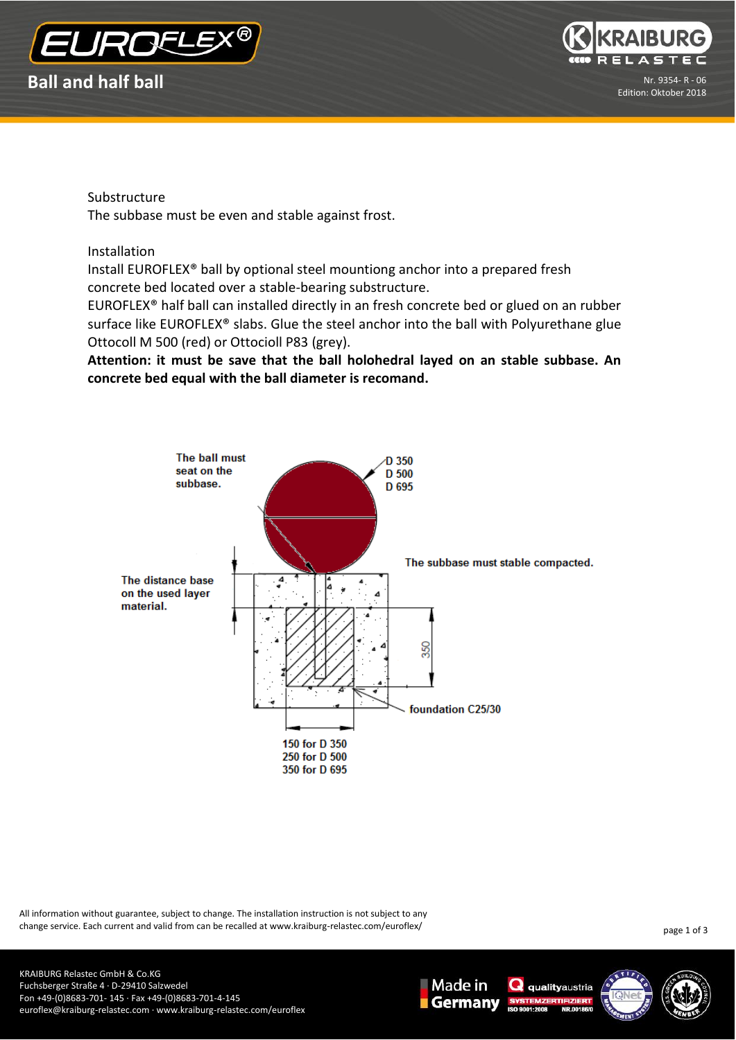



Substructure

The subbase must be even and stable against frost.

Installation

Install EUROFLEX® ball by optional steel mountiong anchor into a prepared fresh concrete bed located over a stable-bearing substructure.

EUROFLEX® half ball can installed directly in an fresh concrete bed or glued on an rubber surface like EUROFLEX<sup>®</sup> slabs. Glue the steel anchor into the ball with Polyurethane glue Ottocoll M 500 (red) or Ottocioll P83 (grey).

**Attention: it must be save that the ball holohedral layed on an stable subbase. An concrete bed equal with the ball diameter is recomand.** 



All information without guarantee, subject to change. The installation instruction is not subject to any change service. Each current and valid from can be recalled at www.kraiburg-relastec.com/euroflex/

page 1 of 3





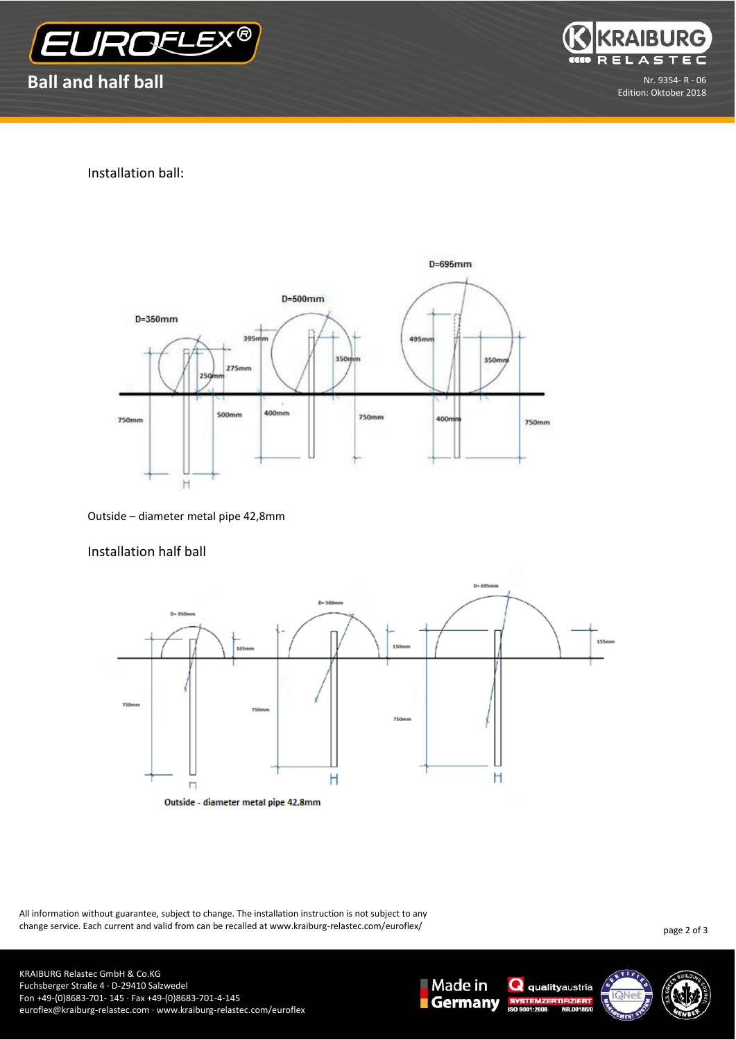



Installation ball:



Outside – diameter metal pipe 42,8mm

## Installation half ball



All information without guarantee, subject to change. The installation instruction is not subject to any change service. Each current and valid from can be recalled at www.kraiburg-relastec.com/euroflex/

page 2 of 3